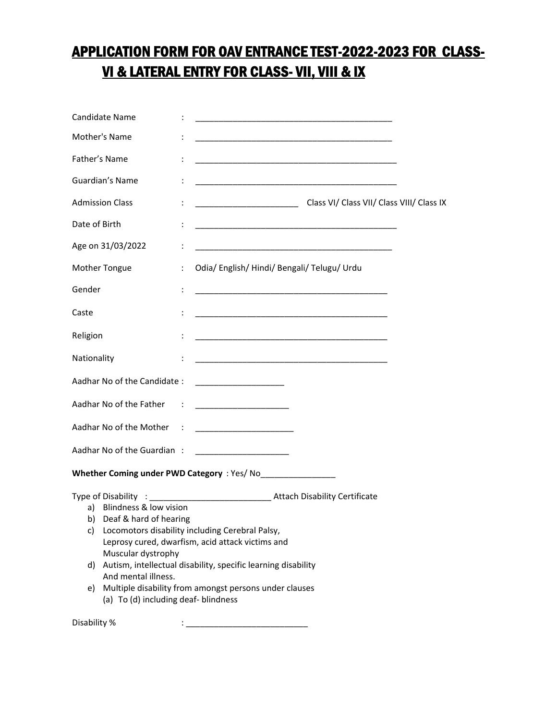## APPLICATION FORM FOR OAV ENTRANCE TEST-2022-2023 FOR CLASS-VI & LATERAL ENTRY FOR CLASS- VII, VIII & IX

| Candidate Name                                                                                                                                                      | <u> 1989 - Johann John Stone, markin film yn y brenin y brenin y brenin y brenin y brenin y brenin y brenin y br</u>                                                                                                           |  |  |  |  |
|---------------------------------------------------------------------------------------------------------------------------------------------------------------------|--------------------------------------------------------------------------------------------------------------------------------------------------------------------------------------------------------------------------------|--|--|--|--|
| Mother's Name                                                                                                                                                       | <u> 1989 - Johann Barbara, markazar margolar (h. 1989).</u>                                                                                                                                                                    |  |  |  |  |
| Father's Name                                                                                                                                                       | $\ddot{\cdot}$<br><u> 1989 - Johann John Stoff, deutscher Stoff und der Stoff und der Stoff und der Stoff und der Stoff und der Stoff</u>                                                                                      |  |  |  |  |
| Guardian's Name                                                                                                                                                     |                                                                                                                                                                                                                                |  |  |  |  |
| <b>Admission Class</b>                                                                                                                                              | Class VI/ Class VI/ Class VII/ Class VIII/ Class IX                                                                                                                                                                            |  |  |  |  |
| Date of Birth                                                                                                                                                       |                                                                                                                                                                                                                                |  |  |  |  |
| Age on 31/03/2022                                                                                                                                                   |                                                                                                                                                                                                                                |  |  |  |  |
| Mother Tongue                                                                                                                                                       | Odia/English/Hindi/Bengali/Telugu/Urdu<br>$\ddot{\cdot}$                                                                                                                                                                       |  |  |  |  |
| Gender                                                                                                                                                              |                                                                                                                                                                                                                                |  |  |  |  |
| Caste                                                                                                                                                               |                                                                                                                                                                                                                                |  |  |  |  |
| Religion                                                                                                                                                            | <u> 1989 - Johann Harry Harry Harry Harry Harry Harry Harry Harry Harry Harry Harry Harry Harry Harry Harry Harry</u>                                                                                                          |  |  |  |  |
| Nationality                                                                                                                                                         |                                                                                                                                                                                                                                |  |  |  |  |
| Aadhar No of the Candidate:                                                                                                                                         |                                                                                                                                                                                                                                |  |  |  |  |
|                                                                                                                                                                     | Aadhar No of the Father : [19] Particular Pacific Contract Particular Pacific Contract Pacific Contract Particular Pacific Contract Pacific Contract Pacific Contract Pacific Contract Pacific Contract Pacific Contract Pacif |  |  |  |  |
| Aadhar No of the Mother<br>$\sim$ 1.                                                                                                                                |                                                                                                                                                                                                                                |  |  |  |  |
| Aadhar No of the Guardian:                                                                                                                                          | <u> 1980 - Johann John Harry Harry Harry Harry Harry Harry Harry Harry Harry Harry Harry Harry Harry Harry Harry H</u>                                                                                                         |  |  |  |  |
|                                                                                                                                                                     |                                                                                                                                                                                                                                |  |  |  |  |
| Blindness & low vision<br>a)<br>Deaf & hard of hearing<br>b)<br>c)<br>Muscular dystrophy<br>d)<br>And mental illness.<br>e)<br>(a) To (d) including deaf- blindness | Locomotors disability including Cerebral Palsy,<br>Leprosy cured, dwarfism, acid attack victims and<br>Autism, intellectual disability, specific learning disability<br>Multiple disability from amongst persons under clauses |  |  |  |  |

Disability %  $\qquad \qquad : \underline{\qquad \qquad }$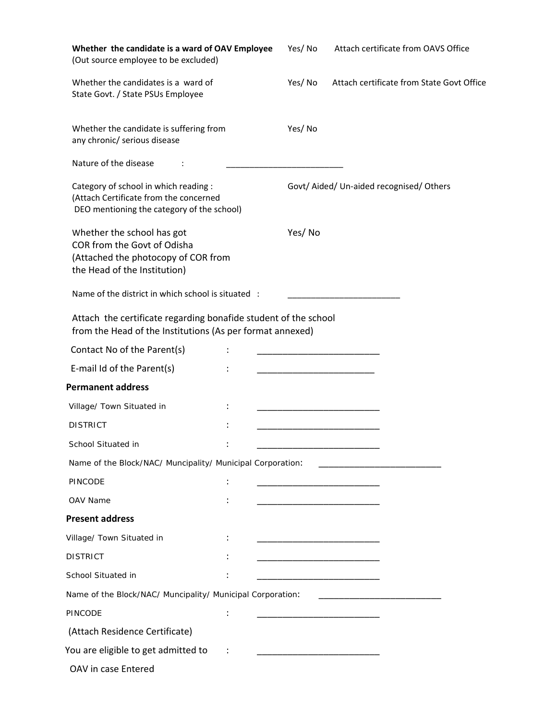| Whether the candidate is a ward of OAV Employee<br>(Out source employee to be excluded)                                          | Yes/No                                                                                                                | Attach certificate from OAVS Office                                                                                    |
|----------------------------------------------------------------------------------------------------------------------------------|-----------------------------------------------------------------------------------------------------------------------|------------------------------------------------------------------------------------------------------------------------|
| Whether the candidates is a ward of<br>State Govt. / State PSUs Employee                                                         | Yes/No                                                                                                                | Attach certificate from State Govt Office                                                                              |
| Whether the candidate is suffering from<br>any chronic/ serious disease                                                          | Yes/No                                                                                                                |                                                                                                                        |
| Nature of the disease                                                                                                            |                                                                                                                       |                                                                                                                        |
| Category of school in which reading :<br>(Attach Certificate from the concerned<br>DEO mentioning the category of the school)    |                                                                                                                       | Govt/Aided/Un-aided recognised/Others                                                                                  |
| Whether the school has got<br>COR from the Govt of Odisha<br>(Attached the photocopy of COR from<br>the Head of the Institution) | Yes/No                                                                                                                |                                                                                                                        |
| Name of the district in which school is situated :                                                                               |                                                                                                                       |                                                                                                                        |
| Attach the certificate regarding bonafide student of the school<br>from the Head of the Institutions (As per format annexed)     |                                                                                                                       |                                                                                                                        |
| Contact No of the Parent(s)                                                                                                      |                                                                                                                       |                                                                                                                        |
| E-mail Id of the Parent(s)                                                                                                       |                                                                                                                       |                                                                                                                        |
| <b>Permanent address</b>                                                                                                         |                                                                                                                       |                                                                                                                        |
| Village/ Town Situated in                                                                                                        |                                                                                                                       |                                                                                                                        |
| <b>DISTRICT</b>                                                                                                                  |                                                                                                                       |                                                                                                                        |
| School Situated in                                                                                                               |                                                                                                                       |                                                                                                                        |
| Name of the Block/NAC/ Muncipality/ Municipal Corporation:                                                                       |                                                                                                                       |                                                                                                                        |
| PINCODE                                                                                                                          | <u> 1989 - Johann John Stone, markin amerikan bisa di sebagai pertama dan bagi pertama dan bagi pertama dan bagi </u> |                                                                                                                        |
| OAV Name                                                                                                                         |                                                                                                                       |                                                                                                                        |
| <b>Present address</b>                                                                                                           |                                                                                                                       |                                                                                                                        |
| Village/ Town Situated in                                                                                                        |                                                                                                                       |                                                                                                                        |
| <b>DISTRICT</b>                                                                                                                  |                                                                                                                       |                                                                                                                        |
| School Situated in                                                                                                               |                                                                                                                       |                                                                                                                        |
| Name of the Block/NAC/ Muncipality/ Municipal Corporation:                                                                       |                                                                                                                       | <u> 1989 - Johann John Stone, markin amerikan bisa di sebagai pertama dan bagi persebut dan bagi persebut dan ba</u>   |
| PINCODE                                                                                                                          |                                                                                                                       | <u> 1999 - Johann John Harry Harry Harry Harry Harry Harry Harry Harry Harry Harry Harry Harry Harry Harry Harry H</u> |
| (Attach Residence Certificate)                                                                                                   |                                                                                                                       |                                                                                                                        |
| You are eligible to get admitted to                                                                                              |                                                                                                                       |                                                                                                                        |
| OAV in case Entered                                                                                                              |                                                                                                                       |                                                                                                                        |